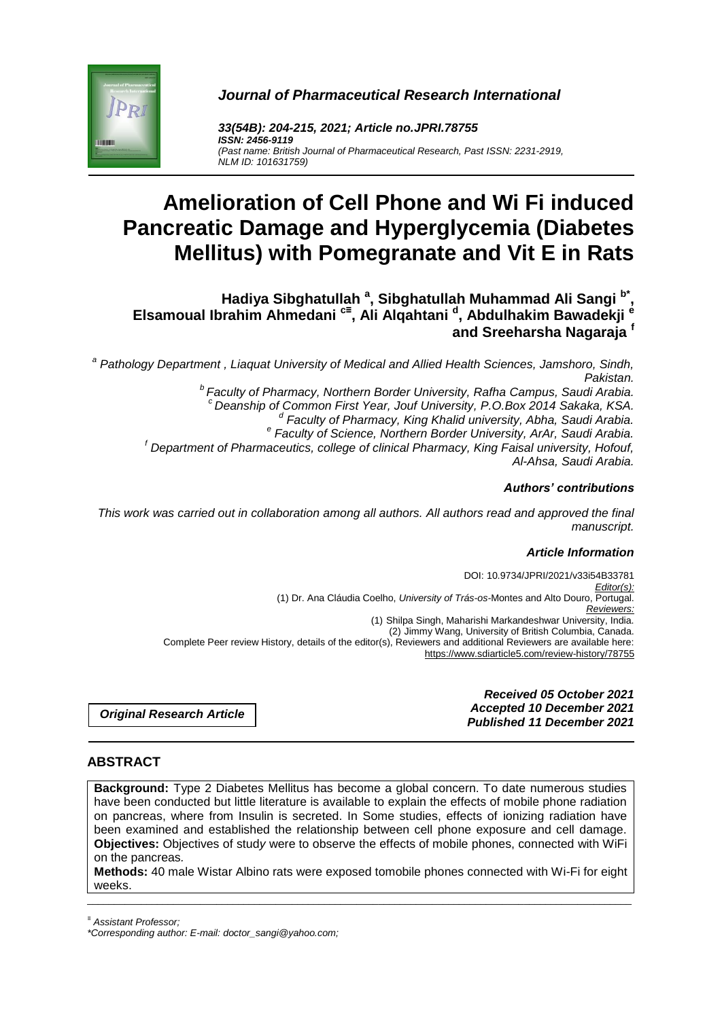



*33(54B): 204-215, 2021; Article no.JPRI.78755 ISSN: 2456-9119 (Past name: British Journal of Pharmaceutical Research, Past ISSN: 2231-2919, NLM ID: 101631759)*

# **Amelioration of Cell Phone and Wi Fi induced Pancreatic Damage and Hyperglycemia (Diabetes Mellitus) with Pomegranate and Vit E in Rats**

**Hadiya Sibghatullah <sup>a</sup> , Sibghatullah Muhammad Ali Sangi b\* , Elsamoual Ibrahim Ahmedani c≡ , Ali Alqahtani <sup>d</sup> , Abdulhakim Bawadekji <sup>e</sup> and Sreeharsha Nagaraja <sup>f</sup>**

*a Pathology Department , Liaquat University of Medical and Allied Health Sciences, Jamshoro, Sindh, Pakistan.*

*<sup>b</sup>Faculty of Pharmacy, Northern Border University, Rafha Campus, Saudi Arabia. <sup>c</sup>Deanship of Common First Year, Jouf University, P.O.Box 2014 Sakaka, KSA. d Faculty of Pharmacy, King Khalid university, Abha, Saudi Arabia. e Faculty of Science, Northern Border University, ArAr, Saudi Arabia. <sup>f</sup> Department of Pharmaceutics, college of clinical Pharmacy, King Faisal university, Hofouf, Al-Ahsa, Saudi Arabia.*

#### *Authors' contributions*

*This work was carried out in collaboration among all authors. All authors read and approved the final manuscript.*

#### *Article Information*

DOI: 10.9734/JPRI/2021/v33i54B33781 *Editor(s):* (1) Dr. Ana Cláudia Coelho, *University of Trás-os-*Montes and Alto Douro, Portugal. *Reviewers:* (1) Shilpa Singh, Maharishi Markandeshwar University, India. (2) Jimmy Wang, University of British Columbia, Canada. Complete Peer review History, details of the editor(s), Reviewers and additional Reviewers are available here: https://www.sdiarticle5.com/review-history/78755

*Original Research Article*

*Received 05 October 2021 Accepted 10 December 2021 Published 11 December 2021*

#### **ABSTRACT**

**Background:** Type 2 Diabetes Mellitus has become a global concern. To date numerous studies have been conducted but little literature is available to explain the effects of mobile phone radiation on pancreas, where from Insulin is secreted. In Some studies, effects of ionizing radiation have been examined and established the relationship between cell phone exposure and cell damage. **Objectives:** Objectives of stud*y* were to observe the effects of mobile phones, connected with WiFi on the pancreas*.* 

\_\_\_\_\_\_\_\_\_\_\_\_\_\_\_\_\_\_\_\_\_\_\_\_\_\_\_\_\_\_\_\_\_\_\_\_\_\_\_\_\_\_\_\_\_\_\_\_\_\_\_\_\_\_\_\_\_\_\_\_\_\_\_\_\_\_\_\_\_\_\_\_\_\_\_\_\_\_\_\_\_\_\_\_\_\_\_\_\_\_\_\_\_\_\_\_\_\_\_\_\_ **Methods:** 40 male Wistar Albino rats were exposed tomobile phones connected with Wi-Fi for eight weeks.

*<sup>≡</sup> Assistant Professor;*

*<sup>\*</sup>Corresponding author: E-mail: doctor\_sangi@yahoo.com;*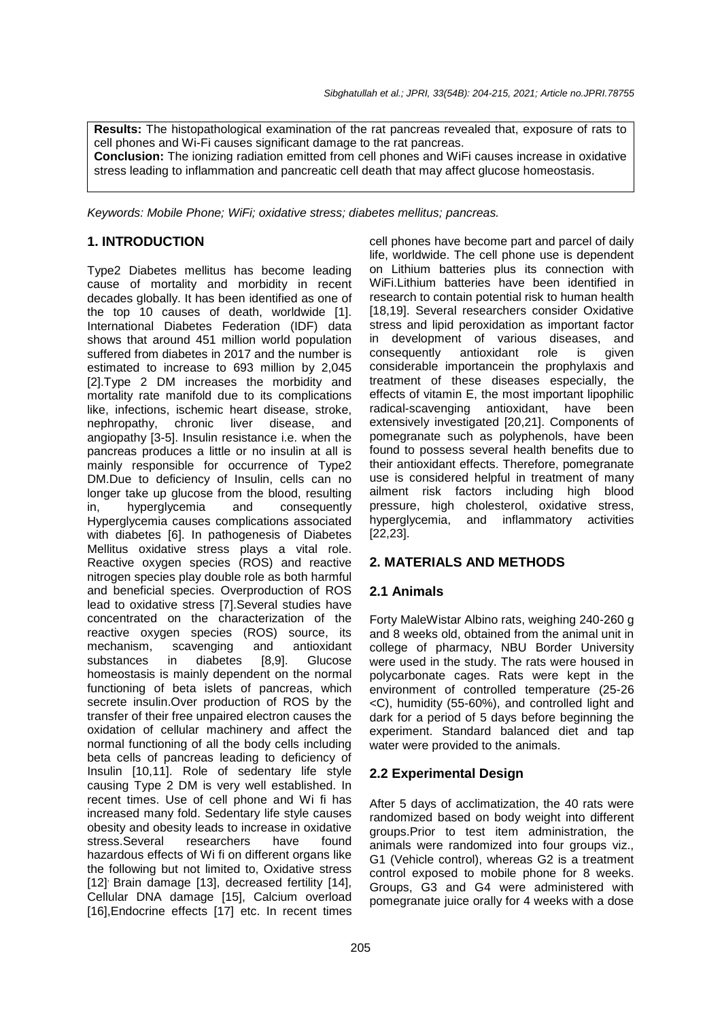**Results:** The histopathological examination of the rat pancreas revealed that, exposure of rats to cell phones and Wi-Fi causes significant damage to the rat pancreas. **Conclusion:** The ionizing radiation emitted from cell phones and WiFi causes increase in oxidative stress leading to inflammation and pancreatic cell death that may affect glucose homeostasis.

*Keywords: Mobile Phone; WiFi; oxidative stress; diabetes mellitus; pancreas.*

# **1. INTRODUCTION**

Type2 Diabetes mellitus has become leading cause of mortality and morbidity in recent decades globally. It has been identified as one of the top 10 causes of death, worldwide [1]. International Diabetes Federation (IDF) data shows that around 451 million world population suffered from diabetes in 2017 and the number is estimated to increase to 693 million by 2,045 [2].Type 2 DM increases the morbidity and mortality rate manifold due to its complications like, infections, ischemic heart disease, stroke, nephropathy, chronic liver disease, and angiopathy [3-5]. Insulin resistance i.e. when the pancreas produces a little or no insulin at all is mainly responsible for occurrence of Type2 DM.Due to deficiency of Insulin, cells can no longer take up glucose from the blood, resulting in, hyperglycemia and consequently Hyperglycemia causes complications associated with diabetes [6]. In pathogenesis of Diabetes Mellitus oxidative stress plays a vital role. Reactive oxygen species (ROS) and reactive nitrogen species play double role as both harmful and beneficial species. Overproduction of ROS lead to oxidative stress [7].Several studies have concentrated on the characterization of the reactive oxygen species (ROS) source, its mechanism, scavenging and antioxidant substances in diabetes [8,9]. Glucose homeostasis is mainly dependent on the normal functioning of beta islets of pancreas, which secrete insulin.Over production of ROS by the transfer of their free unpaired electron causes the oxidation of cellular machinery and affect the normal functioning of all the body cells including beta cells of pancreas leading to deficiency of Insulin [10,11]. Role of sedentary life style causing Type 2 DM is very well established. In recent times. Use of cell phone and Wi fi has increased many fold. Sedentary life style causes obesity and obesity leads to increase in oxidative stress.Several researchers have found hazardous effects of Wi fi on different organs like the following but not limited to, Oxidative stress [12] Brain damage [13], decreased fertility [14], Cellular DNA damage [15], Calcium overload [16], Endocrine effects [17] etc. In recent times

cell phones have become part and parcel of daily life, worldwide. The cell phone use is dependent on Lithium batteries plus its connection with WiFi.Lithium batteries have been identified in research to contain potential risk to human health [18,19]. Several researchers consider Oxidative stress and lipid peroxidation as important factor in development of various diseases, and consequently antioxidant role is given considerable importancein the prophylaxis and treatment of these diseases especially, the effects of vitamin E, the most important lipophilic radical-scavenging antioxidant, have been extensively investigated [20,21]. Components of pomegranate such as polyphenols, have been found to possess several health benefits due to their antioxidant effects. Therefore, pomegranate use is considered helpful in treatment of many ailment risk factors including high blood pressure, high cholesterol, oxidative stress, hyperglycemia, and inflammatory activities [22,23].

# **2. MATERIALS AND METHODS**

#### **2.1 Animals**

Forty MaleWistar Albino rats, weighing 240-260 g and 8 weeks old, obtained from the animal unit in college of pharmacy, NBU Border University were used in the study. The rats were housed in polycarbonate cages. Rats were kept in the environment of controlled temperature (25-26 <C), humidity (55-60%), and controlled light and dark for a period of 5 days before beginning the experiment. Standard balanced diet and tap water were provided to the animals.

# **2.2 Experimental Design**

After 5 days of acclimatization, the 40 rats were randomized based on body weight into different groups.Prior to test item administration, the animals were randomized into four groups viz., G1 (Vehicle control), whereas G2 is a treatment control exposed to mobile phone for 8 weeks. Groups, G3 and G4 were administered with pomegranate juice orally for 4 weeks with a dose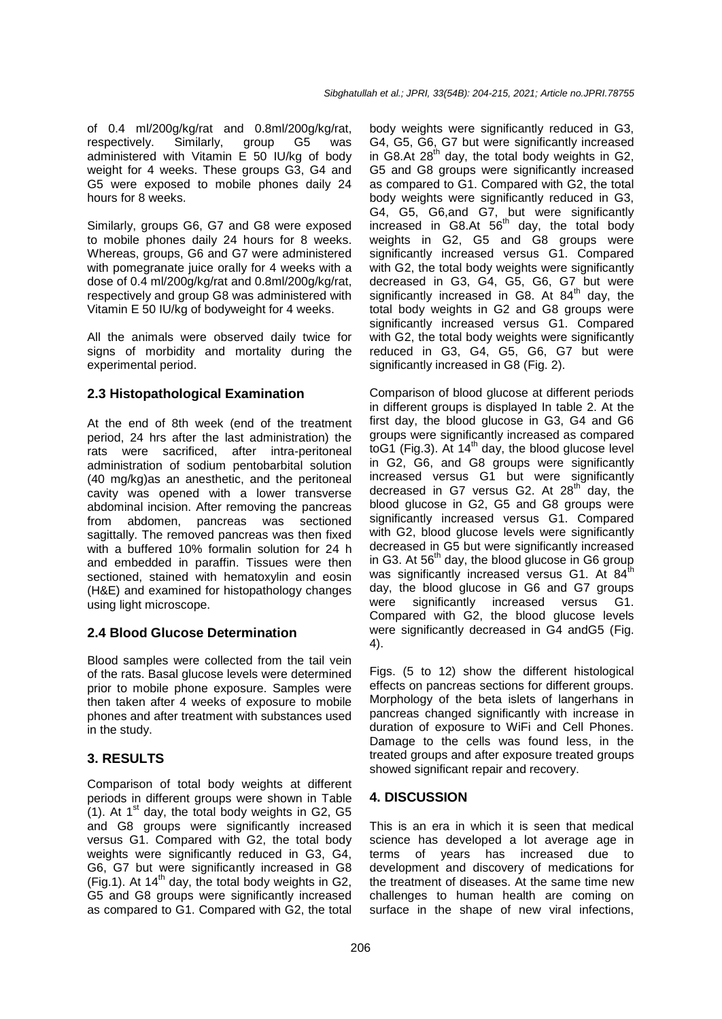of 0.4 ml/200g/kg/rat and 0.8ml/200g/kg/rat,<br>respectively. Similarly, group G5 was respectively. Similarly, group G5 was administered with Vitamin E 50 IU/kg of body weight for 4 weeks. These groups G3, G4 and G5 were exposed to mobile phones daily 24 hours for 8 weeks.

Similarly, groups G6, G7 and G8 were exposed to mobile phones daily 24 hours for 8 weeks. Whereas, groups, G6 and G7 were administered with pomegranate juice orally for 4 weeks with a dose of 0.4 ml/200g/kg/rat and 0.8ml/200g/kg/rat, respectively and group G8 was administered with Vitamin E 50 IU/kg of bodyweight for 4 weeks.

All the animals were observed daily twice for signs of morbidity and mortality during the experimental period.

## **2.3 Histopathological Examination**

At the end of 8th week (end of the treatment period, 24 hrs after the last administration) the rats were sacrificed, after intra-peritoneal administration of sodium pentobarbital solution (40 mg/kg)as an anesthetic, and the peritoneal cavity was opened with a lower transverse abdominal incision. After removing the pancreas from abdomen, pancreas was sectioned sagittally. The removed pancreas was then fixed with a buffered 10% formalin solution for 24 h and embedded in paraffin. Tissues were then sectioned, stained with hematoxylin and eosin (H&E) and examined for histopathology changes using light microscope.

# **2.4 Blood Glucose Determination**

Blood samples were collected from the tail vein of the rats. Basal glucose levels were determined prior to mobile phone exposure. Samples were then taken after 4 weeks of exposure to mobile phones and after treatment with substances used in the study.

#### **3. RESULTS**

Comparison of total body weights at different periods in different groups were shown in Table (1). At  $1^{st}$  day, the total body weights in G2, G5 and G8 groups were significantly increased versus G1. Compared with G2, the total body weights were significantly reduced in G3, G4, G6, G7 but were significantly increased in G8 (Fig.1). At  $14<sup>th</sup>$  day, the total body weights in G2, G5 and G8 groups were significantly increased as compared to G1. Compared with G2, the total

body weights were significantly reduced in G3, G4, G5, G6, G7 but were significantly increased  $\sim$  i,  $\sim$  i,  $\sim$  i,  $\sim$  is set that we is differently increased in G8.At 28<sup>th</sup> day, the total body weights in G2, G5 and G8 groups were significantly increased as compared to G1. Compared with G2, the total body weights were significantly reduced in G3, G4, G5, G6,and G7, but were significantly increased in G8.At 56<sup>th</sup> day, the total body weights in G2, G5 and G8 groups were significantly increased versus G1. Compared with G2, the total body weights were significantly decreased in G3, G4, G5, G6, G7 but were significantly increased in G8. At  $84<sup>th</sup>$  day, the total body weights in G2 and G8 groups were significantly increased versus G1. Compared with G2, the total body weights were significantly reduced in G3, G4, G5, G6, G7 but were significantly increased in G8 (Fig. 2).

Comparison of blood glucose at different periods in different groups is displayed In table 2. At the first day, the blood glucose in G3, G4 and G6 groups were significantly increased as compared toG1 (Fig.3). At 14<sup>th</sup> day, the blood glucose level in G2, G6, and G8 groups were significantly increased versus G1 but were significantly decreased in G7 versus G2. At  $28<sup>th</sup>$  day, the blood glucose in G2, G5 and G8 groups were significantly increased versus G1. Compared with G2, blood glucose levels were significantly decreased in G5 but were significantly increased in G3. At  $56<sup>th</sup>$  day, the blood glucose in G6 group was significantly increased versus G1. At 84<sup>th</sup> day, the blood glucose in G6 and G7 groups were significantly increased versus G1. Compared with G2, the blood glucose levels were significantly decreased in G4 andG5 (Fig. 4).

Figs. (5 to 12) show the different histological effects on pancreas sections for different groups. Morphology of the beta islets of langerhans in pancreas changed significantly with increase in duration of exposure to WiFi and Cell Phones. Damage to the cells was found less, in the treated groups and after exposure treated groups showed significant repair and recovery.

# **4. DISCUSSION**

This is an era in which it is seen that medical science has developed a lot average age in terms of years has increased due to development and discovery of medications for the treatment of diseases. At the same time new challenges to human health are coming on surface in the shape of new viral infections,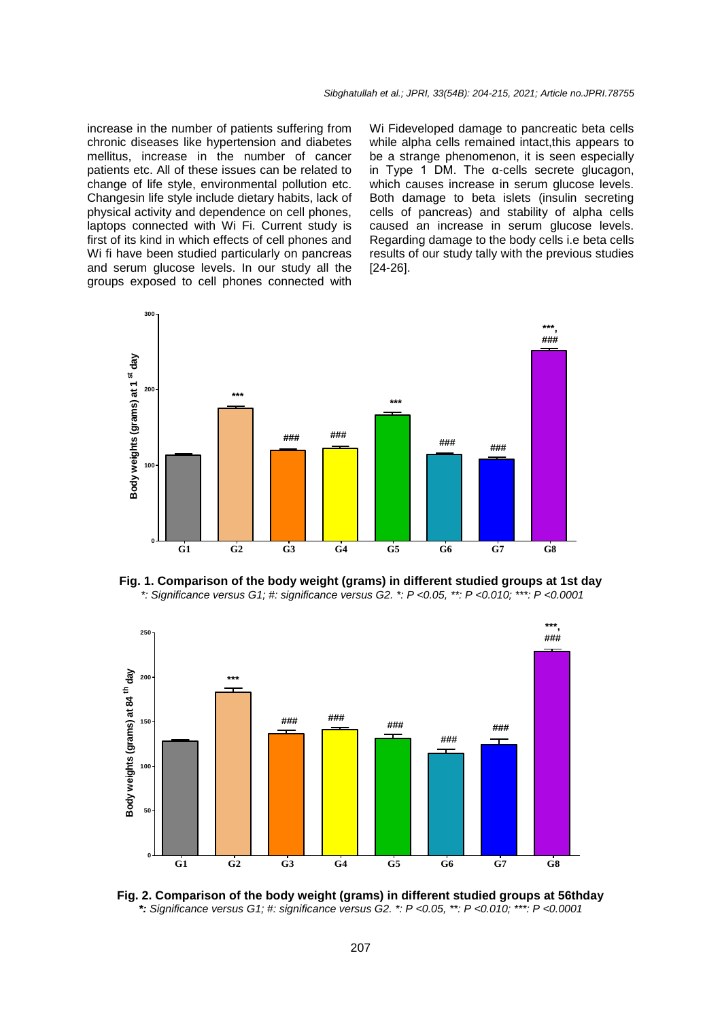increase in the number of patients suffering from chronic diseases like hypertension and diabetes mellitus, increase in the number of cancer patients etc. All of these issues can be related to change of life style, environmental pollution etc. Changesin life style include dietary habits, lack of physical activity and dependence on cell phones, laptops connected with Wi Fi. Current study is first of its kind in which effects of cell phones and Wi fi have been studied particularly on pancreas and serum glucose levels. In our study all the groups exposed to cell phones connected with

Wi Fideveloped damage to pancreatic beta cells while alpha cells remained intact, this appears to be a strange phenomenon, it is seen especially in Type 1 DM. The α-cells secrete glucagon, which causes increase in serum glucose levels. Both damage to beta islets (insulin secreting cells of pancreas) and stability of alpha cells caused an increase in serum glucose levels. Regarding damage to the body cells i.e beta cells results of our study tally with the previous studies [24-26].



**Fig. 1. Comparison of the body weight (grams) in different studied groups at 1st day** *\*: Significance versus G1; #: significance versus G2. \*: P <0.05, \*\*: P <0.010; \*\*\*: P <0.0001*



**Fig. 2. Comparison of the body weight (grams) in different studied groups at 56thday** *\*: Significance versus G1; #: significance versus G2. \*: P <0.05, \*\*: P <0.010; \*\*\*: P <0.0001*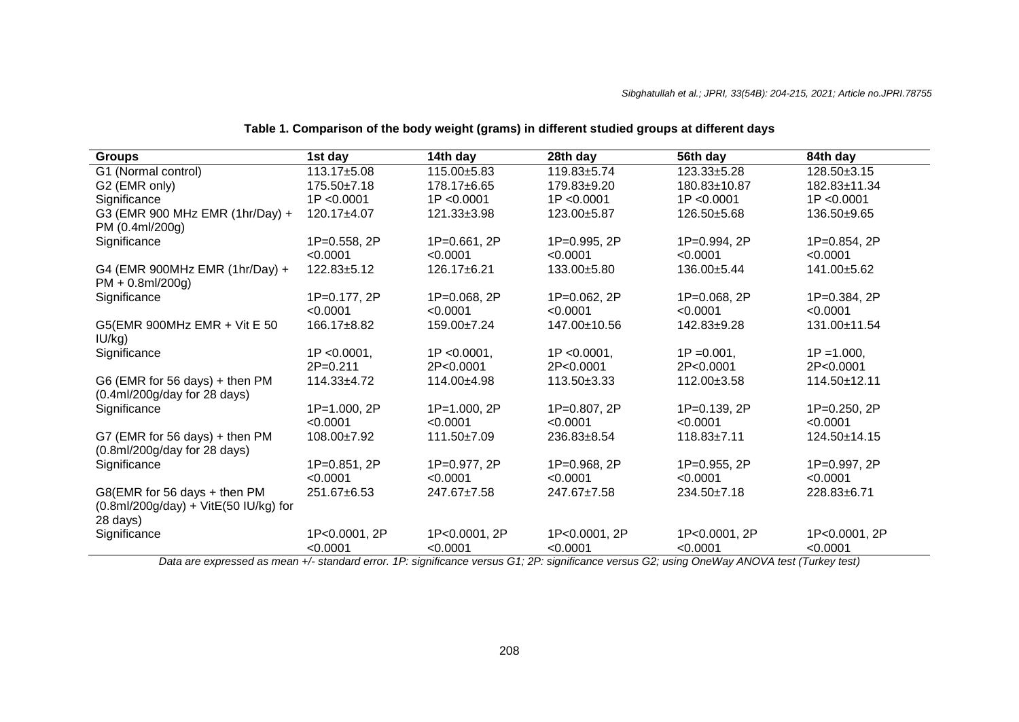## **Table 1. Comparison of the body weight (grams) in different studied groups at different days**

| <b>Groups</b>                                                                           | 1st day                   | 14th day                  | 28th day                  | 56th day                  | 84th day                  |
|-----------------------------------------------------------------------------------------|---------------------------|---------------------------|---------------------------|---------------------------|---------------------------|
| G1 (Normal control)                                                                     | 113.17±5.08               | 115.00±5.83               | 119.83±5.74               | 123.33±5.28               | 128.50±3.15               |
| G2 (EMR only)                                                                           | 175.50±7.18               | 178.17±6.65               | 179.83±9.20               | 180.83±10.87              | 182.83±11.34              |
| Significance                                                                            | 1P < 0.0001               | 1P < 0.0001               | 1P < 0.0001               | 1P < 0.0001               | 1P < 0.0001               |
| G3 (EMR 900 MHz EMR (1hr/Day) +<br>PM (0.4ml/200g)                                      | 120.17±4.07               | 121.33±3.98               | 123.00±5.87               | 126.50±5.68               | 136.50±9.65               |
| Significance                                                                            | 1P=0.558, 2P<br>< 0.0001  | $1P = 0.661, 2P$          | 1P=0.995, 2P              | 1P=0.994, 2P              | 1P=0.854, 2P              |
|                                                                                         |                           | < 0.0001                  | < 0.0001                  | < 0.0001                  | < 0.0001                  |
| G4 (EMR 900MHz EMR (1hr/Day) +<br>$PM + 0.8$ ml/200g)                                   | 122.83±5.12               | 126.17±6.21               | 133.00±5.80               | 136.00±5.44               | 141.00±5.62               |
| Significance                                                                            | 1P=0.177, 2P<br>< 0.0001  | 1P=0.068, 2P<br>< 0.0001  | 1P=0.062, 2P<br>< 0.0001  | 1P=0.068, 2P<br>< 0.0001  | 1P=0.384, 2P<br>< 0.0001  |
| G5(EMR 900MHz EMR + Vit E 50<br>IU/kg)                                                  | 166.17±8.82               | 159.00±7.24               | 147.00±10.56              | 142.83±9.28               | 131.00±11.54              |
| Significance                                                                            | $1P < 0.0001$ ,           | $1P < 0.0001$ ,           | $1P < 0.0001$ ,           | $1P = 0.001$ ,            | $1P = 1.000$ ,            |
|                                                                                         | $2P = 0.211$              | 2P<0.0001                 | 2P<0.0001                 | 2P<0.0001                 | 2P<0.0001                 |
| G6 (EMR for 56 days) + then PM<br>$(0.4ml/200g/day$ for 28 days)                        | $114.33 + 4.72$           | 114.00±4.98               | 113.50±3.33               | 112.00±3.58               | 114.50±12.11              |
| Significance                                                                            | 1P=1.000, 2P              | 1P=1.000, 2P              | 1P=0.807, 2P              | 1P=0.139, 2P              | 1P=0.250, 2P              |
|                                                                                         | < 0.0001                  | < 0.0001                  | < 0.0001                  | < 0.0001                  | < 0.0001                  |
| G7 (EMR for 56 days) + then PM<br>(0.8ml/200g/day for 28 days)                          | 108.00±7.92               | 111.50±7.09               | 236.83±8.54               | $118.83 \pm 7.11$         | $124.50 \pm 14.15$        |
| Significance                                                                            | 1P=0.851, 2P              | 1P=0.977, 2P              | 1P=0.968, 2P              | 1P=0.955, 2P              | 1P=0.997, 2P              |
|                                                                                         | < 0.0001                  | < 0.0001                  | < 0.0001                  | < 0.0001                  | < 0.0001                  |
| G8(EMR for 56 days + then PM<br>$(0.8$ ml/200g/day $) +$ VitE(50 IU/kg) for<br>28 days) | 251.67±6.53               | 247.67±7.58               | 247.67±7.58               | 234.50±7.18               | 228.83±6.71               |
| Significance                                                                            | 1P<0.0001, 2P<br>< 0.0001 | 1P<0.0001, 2P<br>< 0.0001 | 1P<0.0001, 2P<br>< 0.0001 | 1P<0.0001, 2P<br>< 0.0001 | 1P<0.0001, 2P<br>< 0.0001 |

*Data are expressed as mean +/- standard error. 1P: significance versus G1; 2P: significance versus G2; using OneWay ANOVA test (Turkey test)*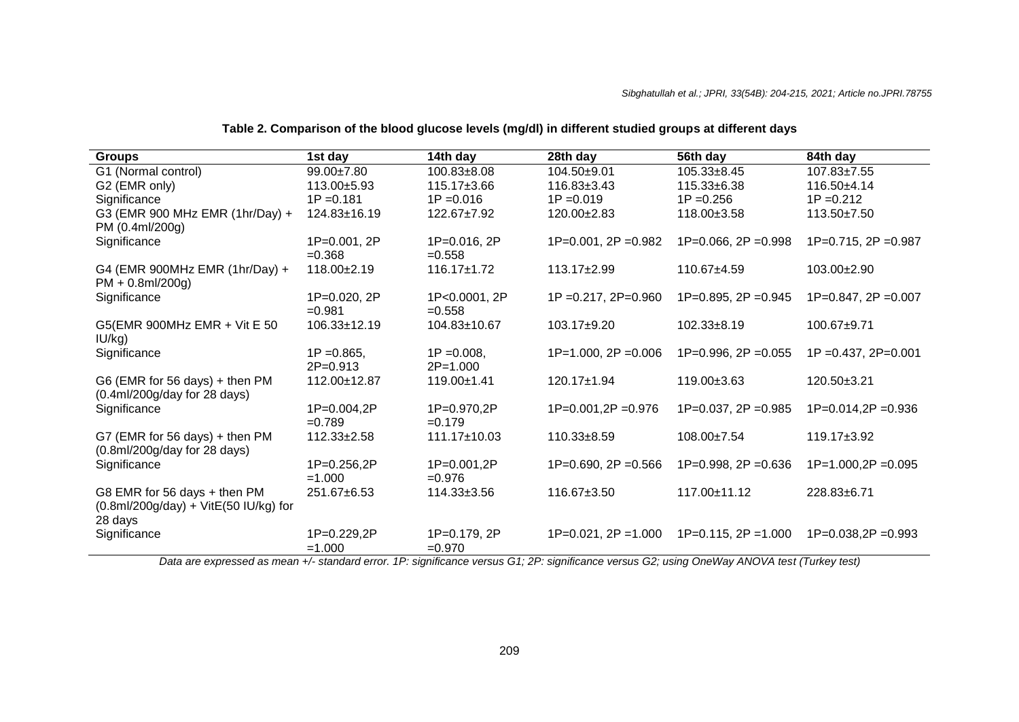## **Table 2. Comparison of the blood glucose levels (mg/dl) in different studied groups at different days**

| <b>Groups</b>                                                                                                                   | 1st day                      | 14th day                     | 28th day                    | 56th day                | 84th day                 |
|---------------------------------------------------------------------------------------------------------------------------------|------------------------------|------------------------------|-----------------------------|-------------------------|--------------------------|
| G1 (Normal control)                                                                                                             | $99.00 \pm 7.80$             | $100.83 \pm 8.08$            | 104.50±9.01                 | $105.33 \pm 8.45$       | 107.83±7.55              |
| G2 (EMR only)                                                                                                                   | $113.00 + 5.93$              | $115.17 \pm 3.66$            | $116.83 \pm 3.43$           | 115.33±6.38             | $116.50+4.14$            |
| Significance                                                                                                                    | $1P = 0.181$                 | $1P = 0.016$                 | $1P = 0.019$                | $1P = 0.256$            | $1P = 0.212$             |
| G3 (EMR 900 MHz EMR (1hr/Day) +<br>PM (0.4ml/200g)                                                                              | $124.83 \pm 16.19$           | $122.67 \pm 7.92$            | 120.00±2.83                 | 118.00±3.58             | 113.50±7.50              |
| Significance                                                                                                                    | 1P=0.001, 2P<br>$= 0.368$    | 1P=0.016, 2P<br>$=0.558$     | $1P=0.001$ , $2P=0.982$     | $1P=0.066$ , $2P=0.998$ | $1P=0.715$ , $2P=0.987$  |
| G4 (EMR 900MHz EMR (1hr/Day) +<br>$PM + 0.8$ ml/200g)                                                                           | $118.00+2.19$                | $116.17 \pm 1.72$            | $113.17 + 2.99$             | 110.67±4.59             | $103.00+2.90$            |
| Significance                                                                                                                    | 1P=0.020, 2P<br>$=0.981$     | 1P<0.0001, 2P<br>$=0.558$    | $1P = 0.217$ , $2P = 0.960$ | $1P=0.895$ , $2P=0.945$ | $1P=0.847$ , $2P=0.007$  |
| G5(EMR 900MHz EMR + Vit E 50<br>IU/kg)                                                                                          | $106.33 \pm 12.19$           | 104.83±10.67                 | 103.17±9.20                 | 102.33±8.19             | 100.67±9.71              |
| Significance                                                                                                                    | $1P = 0.865$<br>$2P = 0.913$ | $1P = 0.008$<br>$2P = 1.000$ | $1P=1.000$ , $2P=0.006$     | $1P=0.996$ , $2P=0.055$ | $1P = 0.437, 2P = 0.001$ |
| G6 (EMR for 56 days) + then PM<br>$(0.4ml/200g/day$ for 28 days)                                                                | 112.00±12.87                 | $119.00 \pm 1.41$            | 120.17±1.94                 | 119.00±3.63             | $120.50+3.21$            |
| Significance                                                                                                                    | 1P=0.004,2P<br>$= 0.789$     | 1P=0.970,2P<br>$=0.179$      | $1P=0.001, 2P=0.976$        | $1P=0.037$ , $2P=0.985$ | $1P=0.014, 2P=0.936$     |
| G7 (EMR for 56 days) $+$ then PM<br>(0.8ml/200g/day for 28 days)                                                                | $112.33 \pm 2.58$            | $111.17 \pm 10.03$           | $110.33 \pm 8.59$           | 108.00±7.54             | $119.17 \pm 3.92$        |
| Significance                                                                                                                    | 1P=0.256,2P<br>$=1.000$      | 1P=0.001,2P<br>$=0.976$      | $1P=0.690$ , $2P=0.566$     | $1P=0.998$ , $2P=0.636$ | $1P=1.000,2P=0.095$      |
| G8 EMR for 56 days + then PM<br>$(0.8 \text{ml}/200 \text{g}/\text{day}) + \text{VitE}(50 \text{ IU}/\text{kg})$ for<br>28 days | 251.67±6.53                  | $114.33 \pm 3.56$            | 116.67±3.50                 | 117.00±11.12            | 228.83±6.71              |
| Significance                                                                                                                    | 1P=0.229,2P<br>$=1.000$      | 1P=0.179, 2P<br>$=0.970$     | $1P=0.021$ , $2P=1.000$     | $1P=0.115$ , $2P=1.000$ | $1P=0.038,2P=0.993$      |

*Data are expressed as mean +/- standard error. 1P: significance versus G1; 2P: significance versus G2; using OneWay ANOVA test (Turkey test)*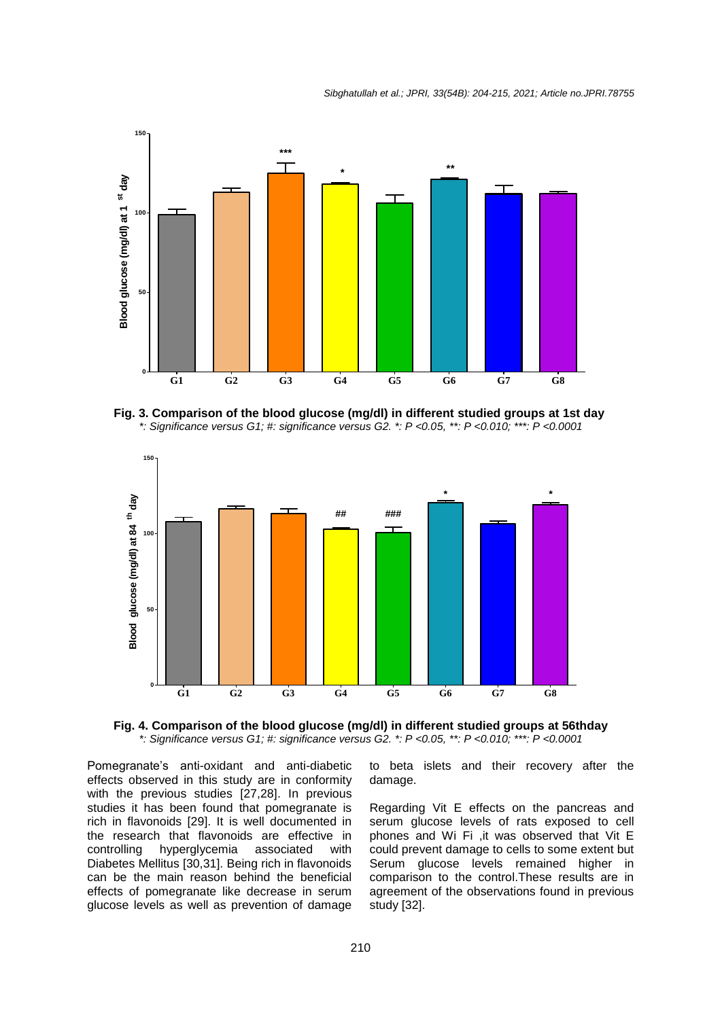

**Fig. 3. Comparison of the blood glucose (mg/dl) in different studied groups at 1st day** *\*: Significance versus G1; #: significance versus G2. \*: P <0.05, \*\*: P <0.010; \*\*\*: P <0.0001*



**Fig. 4. Comparison of the blood glucose (mg/dl) in different studied groups at 56thday** *\*: Significance versus G1; #: significance versus G2. \*: P <0.05, \*\*: P <0.010; \*\*\*: P <0.0001*

Pomegranate's anti-oxidant and anti-diabetic effects observed in this study are in conformity with the previous studies [27,28]. In previous studies it has been found that pomegranate is rich in flavonoids [29]. It is well documented in the research that flavonoids are effective in controlling hyperglycemia associated with Diabetes Mellitus [30,31]. Being rich in flavonoids can be the main reason behind the beneficial effects of pomegranate like decrease in serum glucose levels as well as prevention of damage to beta islets and their recovery after the damage.

Regarding Vit E effects on the pancreas and serum glucose levels of rats exposed to cell phones and Wi Fi ,it was observed that Vit E could prevent damage to cells to some extent but Serum glucose levels remained higher in comparison to the control.These results are in agreement of the observations found in previous study [32].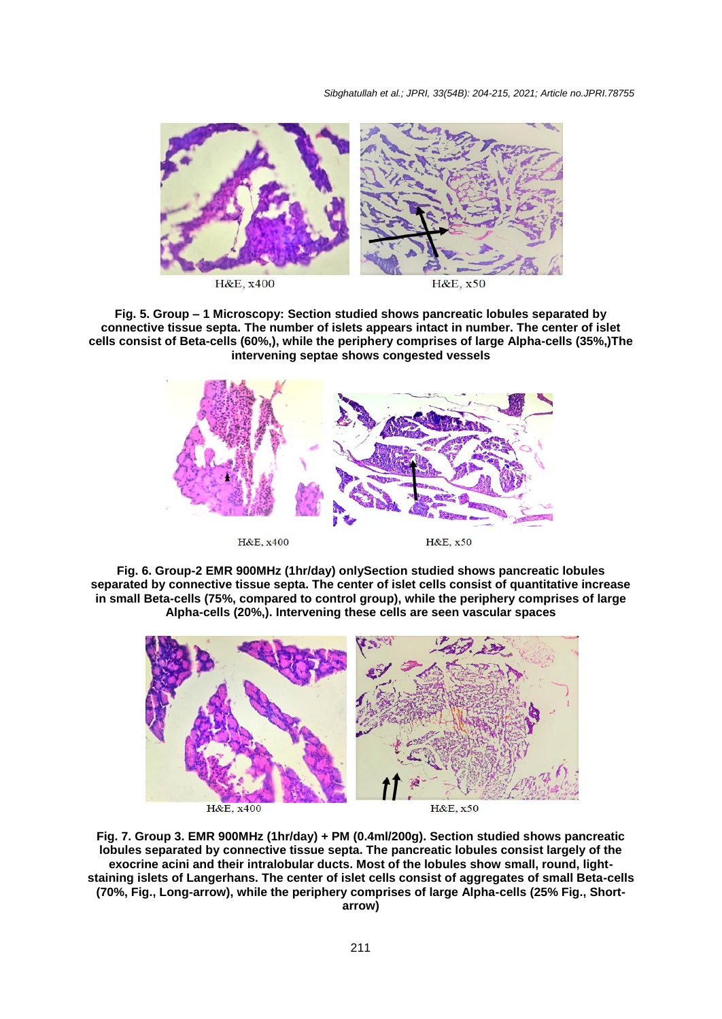*Sibghatullah et al.; JPRI, 33(54B): 204-215, 2021; Article no.JPRI.78755*



**Fig. 5. Group – 1 Microscopy: Section studied shows pancreatic lobules separated by connective tissue septa. The number of islets appears intact in number. The center of islet cells consist of Beta-cells (60%,), while the periphery comprises of large Alpha-cells (35%,)The intervening septae shows congested vessels**



**Fig. 6. Group-2 EMR 900MHz (1hr/day) onlySection studied shows pancreatic lobules separated by connective tissue septa. The center of islet cells consist of quantitative increase in small Beta-cells (75%, compared to control group), while the periphery comprises of large Alpha-cells (20%,). Intervening these cells are seen vascular spaces**



**Fig. 7. Group 3. EMR 900MHz (1hr/day) + PM (0.4ml/200g). Section studied shows pancreatic lobules separated by connective tissue septa. The pancreatic lobules consist largely of the exocrine acini and their intralobular ducts. Most of the lobules show small, round, lightstaining islets of Langerhans. The center of islet cells consist of aggregates of small Beta-cells (70%, Fig., Long-arrow), while the periphery comprises of large Alpha-cells (25% Fig., Short-**

**arrow)**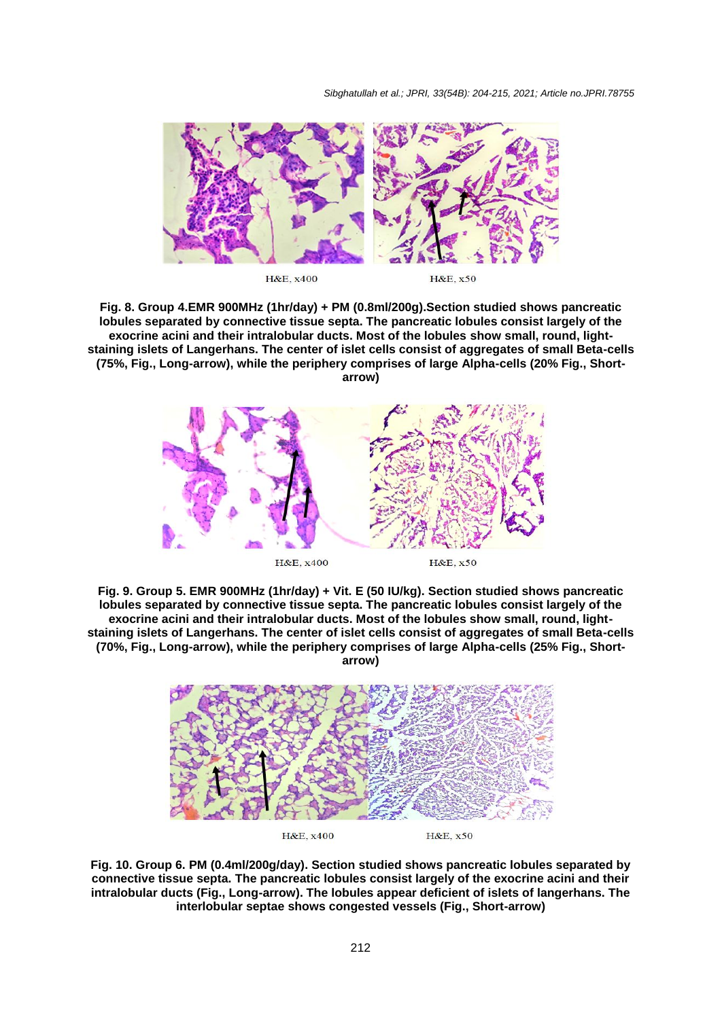*Sibghatullah et al.; JPRI, 33(54B): 204-215, 2021; Article no.JPRI.78755*



H&E, x400

H&E, x50

**Fig. 8. Group 4.EMR 900MHz (1hr/day) + PM (0.8ml/200g).Section studied shows pancreatic lobules separated by connective tissue septa. The pancreatic lobules consist largely of the exocrine acini and their intralobular ducts. Most of the lobules show small, round, lightstaining islets of Langerhans. The center of islet cells consist of aggregates of small Beta-cells (75%, Fig., Long-arrow), while the periphery comprises of large Alpha-cells (20% Fig., Shortarrow)**



**Fig. 9. Group 5. EMR 900MHz (1hr/day) + Vit. E (50 IU/kg). Section studied shows pancreatic lobules separated by connective tissue septa. The pancreatic lobules consist largely of the exocrine acini and their intralobular ducts. Most of the lobules show small, round, lightstaining islets of Langerhans. The center of islet cells consist of aggregates of small Beta-cells (70%, Fig., Long-arrow), while the periphery comprises of large Alpha-cells (25% Fig., Shortarrow)**



**Fig. 10. Group 6. PM (0.4ml/200g/day). Section studied shows pancreatic lobules separated by connective tissue septa. The pancreatic lobules consist largely of the exocrine acini and their intralobular ducts (Fig., Long-arrow). The lobules appear deficient of islets of langerhans. The interlobular septae shows congested vessels (Fig., Short-arrow)**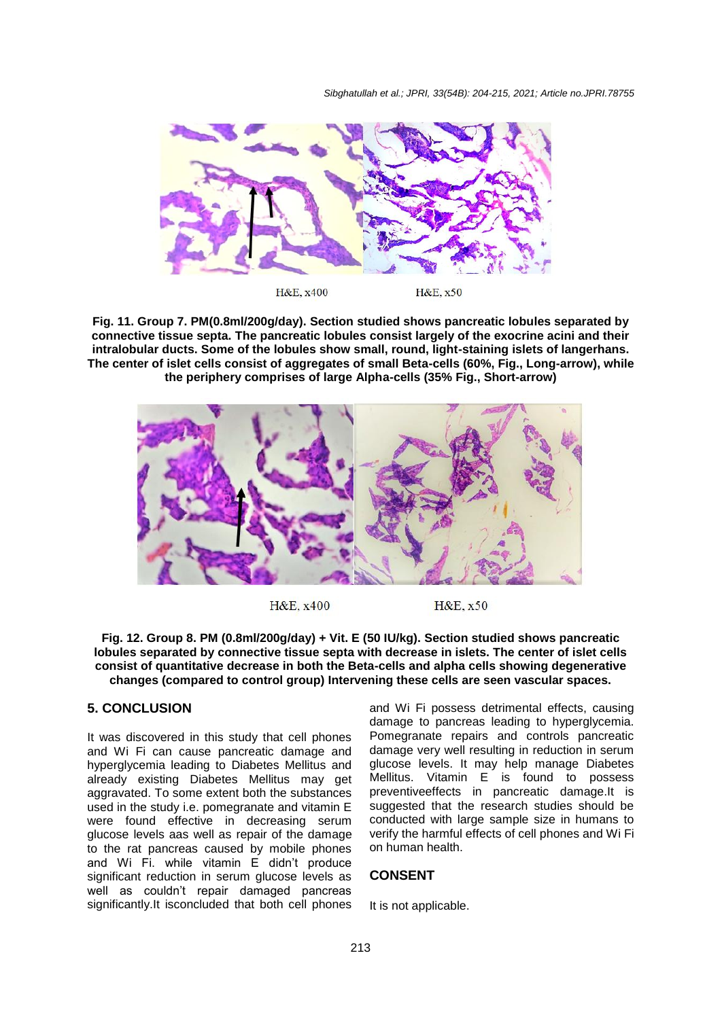*Sibghatullah et al.; JPRI, 33(54B): 204-215, 2021; Article no.JPRI.78755*



**Fig. 11. Group 7. PM(0.8ml/200g/day). Section studied shows pancreatic lobules separated by connective tissue septa. The pancreatic lobules consist largely of the exocrine acini and their intralobular ducts. Some of the lobules show small, round, light-staining islets of langerhans. The center of islet cells consist of aggregates of small Beta-cells (60%, Fig., Long-arrow), while the periphery comprises of large Alpha-cells (35% Fig., Short-arrow)**



H&E, x400

H&E, x50

**Fig. 12. Group 8. PM (0.8ml/200g/day) + Vit. E (50 IU/kg). Section studied shows pancreatic lobules separated by connective tissue septa with decrease in islets. The center of islet cells consist of quantitative decrease in both the Beta-cells and alpha cells showing degenerative changes (compared to control group) Intervening these cells are seen vascular spaces.**

# **5. CONCLUSION**

It was discovered in this study that cell phones and Wi Fi can cause pancreatic damage and hyperglycemia leading to Diabetes Mellitus and already existing Diabetes Mellitus may get aggravated. To some extent both the substances used in the study i.e. pomegranate and vitamin E were found effective in decreasing serum glucose levels aas well as repair of the damage to the rat pancreas caused by mobile phones and Wi Fi. while vitamin E didn't produce significant reduction in serum glucose levels as well as couldn't repair damaged pancreas significantly.It isconcluded that both cell phones

and Wi Fi possess detrimental effects, causing damage to pancreas leading to hyperglycemia. Pomegranate repairs and controls pancreatic damage very well resulting in reduction in serum glucose levels. It may help manage Diabetes Mellitus. Vitamin E is found to possess preventiveeffects in pancreatic damage.It is suggested that the research studies should be conducted with large sample size in humans to verify the harmful effects of cell phones and Wi Fi on human health.

## **CONSENT**

It is not applicable.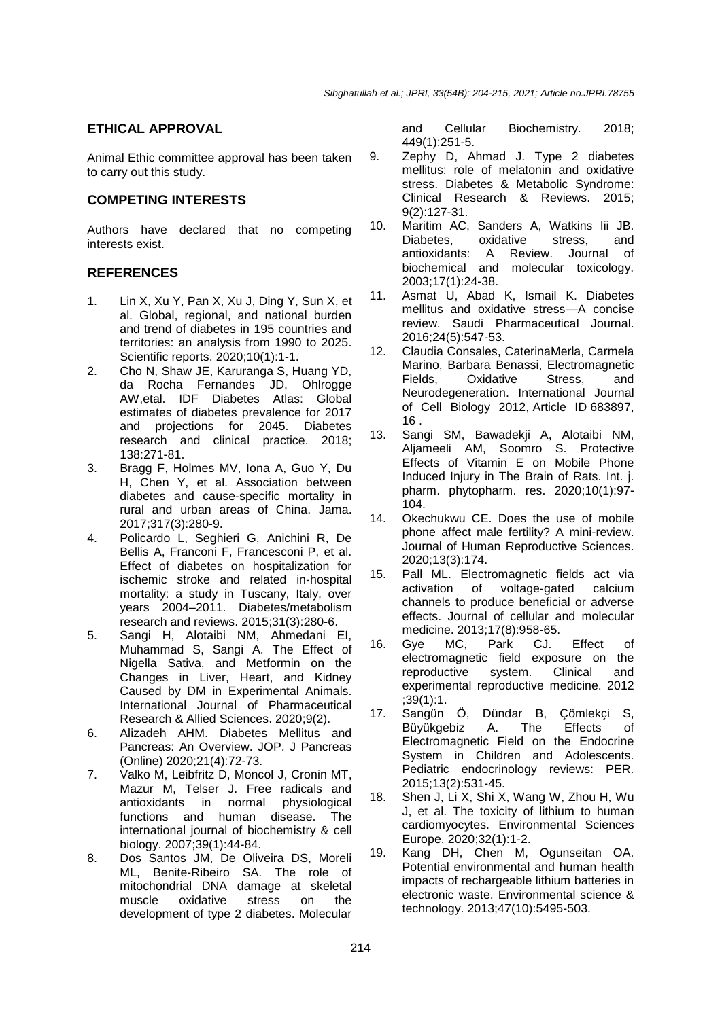# **ETHICAL APPROVAL**

Animal Ethic committee approval has been taken to carry out this study.

## **COMPETING INTERESTS**

Authors have declared that no competing interests exist.

## **REFERENCES**

- 1. Lin X, Xu Y, Pan X, Xu J, Ding Y, Sun X, et al. Global, regional, and national burden and trend of diabetes in 195 countries and territories: an analysis from 1990 to 2025. Scientific reports. 2020;10(1):1-1.
- 2. Cho N, Shaw JE, Karuranga S, Huang YD, da Rocha Fernandes JD, Ohlrogge AW,etal. IDF Diabetes Atlas: Global estimates of diabetes prevalence for 2017 and projections for 2045. Diabetes research and clinical practice. 2018; 138:271-81.
- 3. Bragg F, Holmes MV, Iona A, Guo Y, Du H, Chen Y, et al. Association between diabetes and cause-specific mortality in rural and urban areas of China. Jama. 2017;317(3):280-9.
- 4. Policardo L, Seghieri G, Anichini R, De Bellis A, Franconi F, Francesconi P, et al. Effect of diabetes on hospitalization for ischemic stroke and related in‐hospital mortality: a study in Tuscany, Italy, over years 2004–2011. Diabetes/metabolism research and reviews. 2015;31(3):280-6.
- 5. Sangi H, Alotaibi NM, Ahmedani EI, Muhammad S, Sangi A. The Effect of Nigella Sativa, and Metformin on the Changes in Liver, Heart, and Kidney Caused by DM in Experimental Animals. International Journal of Pharmaceutical Research & Allied Sciences. 2020;9(2).
- 6. Alizadeh AHM. Diabetes Mellitus and Pancreas: An Overview. JOP. J Pancreas (Online) 2020;21(4):72-73.
- 7. Valko M, Leibfritz D, Moncol J, Cronin MT, Mazur M, Telser J. Free radicals and antioxidants in normal physiological functions and human disease. The international journal of biochemistry & cell biology. 2007;39(1):44-84.
- 8. Dos Santos JM, De Oliveira DS, Moreli ML, Benite-Ribeiro SA. The role of mitochondrial DNA damage at skeletal muscle oxidative stress on the development of type 2 diabetes. Molecular

and Cellular Biochemistry. 2018; 449(1):251-5.

- 9. Zephy D, Ahmad J. Type 2 diabetes mellitus: role of melatonin and oxidative stress. Diabetes & Metabolic Syndrome: Clinical Research & Reviews. 2015; 9(2):127-31.
- 10. Maritim AC, Sanders A, Watkins Iii JB. Diabetes, oxidative stress, and antioxidants: A Review. Journal of biochemical and molecular toxicology. 2003;17(1):24-38.
- 11. Asmat U, Abad K, Ismail K. Diabetes mellitus and oxidative stress—A concise review. Saudi Pharmaceutical Journal. 2016;24(5):547-53.
- 12. Claudia Consales, CaterinaMerla, Carmela Marino, Barbara Benassi, Electromagnetic Fields, Oxidative Stress, and Neurodegeneration. International Journal of Cell Biology 2012, Article ID 683897, 16 .
- 13. Sangi SM, Bawadekji A, Alotaibi NM, Aljameeli AM, Soomro S. Protective Effects of Vitamin E on Mobile Phone Induced Injury in The Brain of Rats. Int. j. pharm. phytopharm. res. 2020;10(1):97- 104.
- 14. Okechukwu CE. Does the use of mobile phone affect male fertility? A mini-review. Journal of Human Reproductive Sciences. 2020;13(3):174.
- 15. Pall ML. Electromagnetic fields act via activation of voltage‐gated calcium channels to produce beneficial or adverse effects. Journal of cellular and molecular medicine. 2013;17(8):958-65.<br>Gve MC. Park CJ.
- 16. Gye MC, Park CJ. Effect of electromagnetic field exposure on the reproductive system. Clinical and experimental reproductive medicine. 2012 ;39(1):1.
- 17. Sangün Ö, Dündar B, Çömlekçi S, Büyükgebiz A. The Effects of Electromagnetic Field on the Endocrine System in Children and Adolescents. Pediatric endocrinology reviews: PER. 2015;13(2):531-45.
- 18. Shen J, Li X, Shi X, Wang W, Zhou H, Wu J, et al. The toxicity of lithium to human cardiomyocytes. Environmental Sciences Europe. 2020;32(1):1-2.
- 19. Kang DH, Chen M, Ogunseitan OA. Potential environmental and human health impacts of rechargeable lithium batteries in electronic waste. Environmental science & technology. 2013;47(10):5495-503.